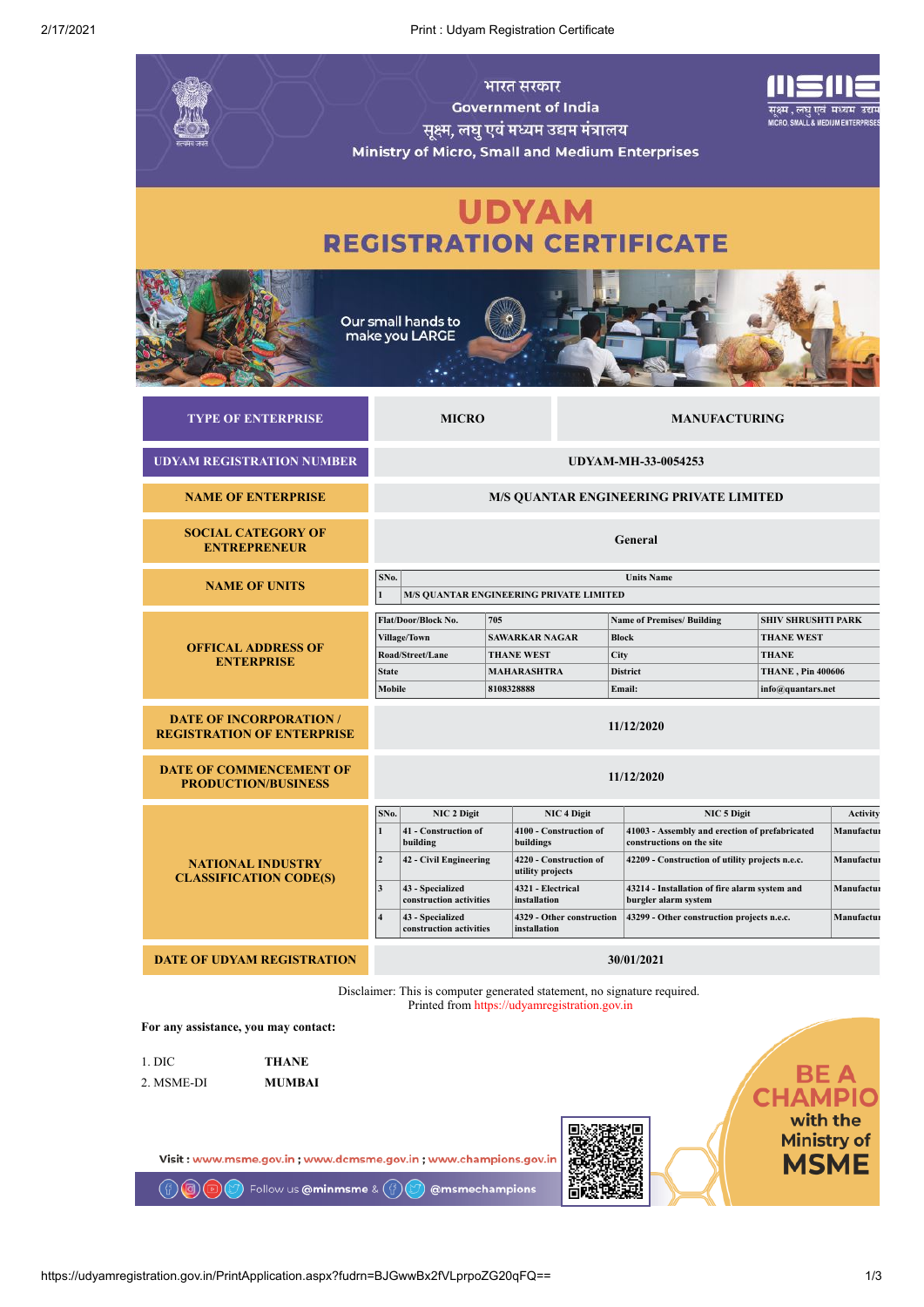2/17/2021 Print : Udyam Registration Certificate

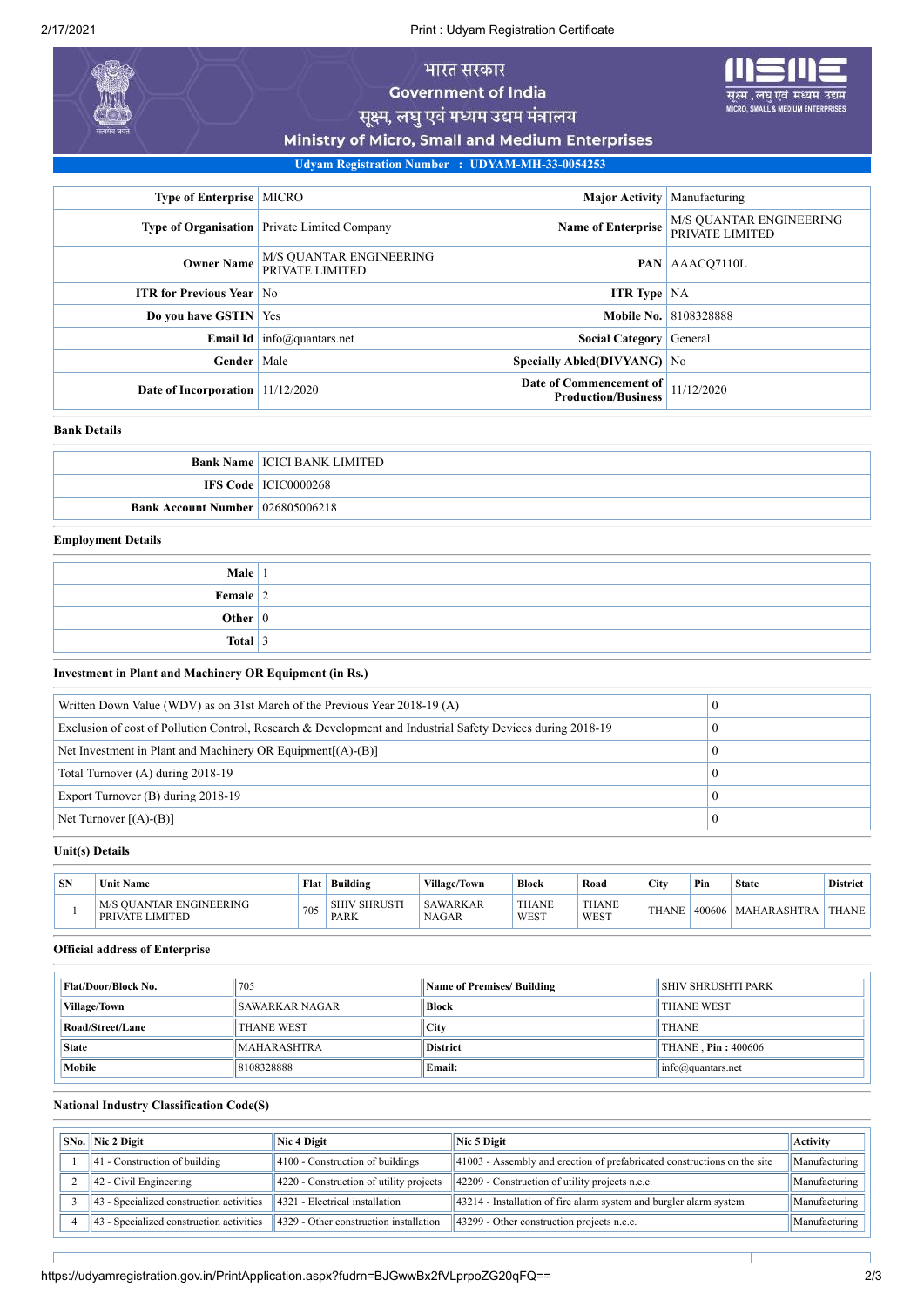2/17/2021 Print : Udyam Registration Certificate

# भारत सरकार **Government of India**

उद्यम

सूक्ष्म, लघु एवं मध्यम उद्यम मंत्रालय

Ministry of Micro, Small and Medium Enterprises

**Udyam Registration Number : UDYAM-MH-33-0054253**

| <b>Type of Enterprise   MICRO</b>  |                                                     | <b>Major Activity</b> Manufacturing                   |                                            |
|------------------------------------|-----------------------------------------------------|-------------------------------------------------------|--------------------------------------------|
|                                    | <b>Type of Organisation</b> Private Limited Company | <b>Name of Enterprise</b>                             | M/S QUANTAR ENGINEERING<br>PRIVATE LIMITED |
| <b>Owner Name</b>                  | M/S QUANTAR ENGINEERING<br>PRIVATE LIMITED          | <b>PAN</b>                                            | AAACO7110L                                 |
| <b>ITR for Previous Year No</b>    |                                                     | <b>ITR Type</b> $NA$                                  |                                            |
| Do you have GSTIN   Yes            |                                                     |                                                       | <b>Mobile No. 8108328888</b>               |
|                                    | <b>Email Id</b> info@quantars.net                   | <b>Social Category</b>                                | General                                    |
| <b>Gender</b> Male                 |                                                     | Specially Abled(DIVYANG) No                           |                                            |
| Date of Incorporation   11/12/2020 |                                                     | Date of Commencement of<br><b>Production/Business</b> | 11/12/2020                                 |

#### **Bank Details**

|                                         | <b>Bank Name   ICICI BANK LIMITED</b> |
|-----------------------------------------|---------------------------------------|
|                                         | <b>IFS Code</b> ICIC0000268           |
| <b>Bank Account Number 026805006218</b> |                                       |

## **Employment Details**

| Male $ 1$    |  |
|--------------|--|
| Female $ 2 $ |  |
| Other $ 0 $  |  |
| Total 3      |  |

**Investment in Plant and Machinery OR Equipment (in Rs.)**

| Written Down Value (WDV) as on 31st March of the Previous Year 2018-19 (A)                                  |  |
|-------------------------------------------------------------------------------------------------------------|--|
| Exclusion of cost of Pollution Control, Research & Development and Industrial Safety Devices during 2018-19 |  |
| Net Investment in Plant and Machinery OR Equipment $[(A)$ - $(B)]$                                          |  |
| Total Turnover (A) during 2018-19                                                                           |  |
| Export Turnover (B) during 2018-19                                                                          |  |
| Net Turnover $[(A)-(B)]$                                                                                    |  |

### **Unit(s) Details**

| <b>SN</b> | <b>Unit Name</b>                                  | Flat | Building                           | <b>Village/Town</b>             | <b>Block</b>         | Road          | City         | Pin    | <b>State</b>       | <b>District</b> |
|-----------|---------------------------------------------------|------|------------------------------------|---------------------------------|----------------------|---------------|--------------|--------|--------------------|-----------------|
|           | <b>M/S OUANTAR ENGINEERING</b><br>PRIVATE LIMITED | 705  | <b>SHIV SHRUSTI</b><br><b>PARK</b> | <b>SAWARKAR</b><br><b>NAGAR</b> | <b>THANE</b><br>WEST | THANE<br>WEST | <b>THANE</b> | 400606 | <b>MAHARASHTRA</b> | THANE           |

### **Official address of Enterprise**

| Flat/Door/Block No. | 705                   | <b>Name of Premises/ Building</b> | <b>SHIV SHRUSHTI PARK</b>     |  |
|---------------------|-----------------------|-----------------------------------|-------------------------------|--|
| Village/Town        | <b>SAWARKAR NAGAR</b> | <b>Block</b>                      | <b>THANE WEST</b>             |  |
| Road/Street/Lane    | <b>THANE WEST</b>     | City                              | <b>THANE</b>                  |  |
| <b>State</b>        | MAHARASHTRA           | <b>District</b>                   | THANE . <b>Pin</b> : 400606   |  |
| Mobile              | 8108328888            | <b>Email:</b>                     | $ info(\hat{a})$ quantars.net |  |

#### **National Industry Classification Code(S)**

| <b>SNo.</b> Nic 2 Digit                  | Nic 4 Digit                                | Nic 5 Digit                                                              | <b>Activity</b> |
|------------------------------------------|--------------------------------------------|--------------------------------------------------------------------------|-----------------|
| $ 41$ - Construction of building         | 4100 - Construction of buildings           | 41003 - Assembly and erection of prefabricated constructions on the site | Manufacturing   |
| $ 42 -$ Civil Engineering                | $ 4220$ - Construction of utility projects | 42209 - Construction of utility projects n.e.c.                          | Manufacturing   |
| 43 - Specialized construction activities | 4321 - Electrical installation             | 43214 - Installation of fire alarm system and burgler alarm system       | Manufacturing   |
| 43 - Specialized construction activities | 4329 - Other construction installation     | 43299 - Other construction projects n.e.c.                               | Manufacturing   |